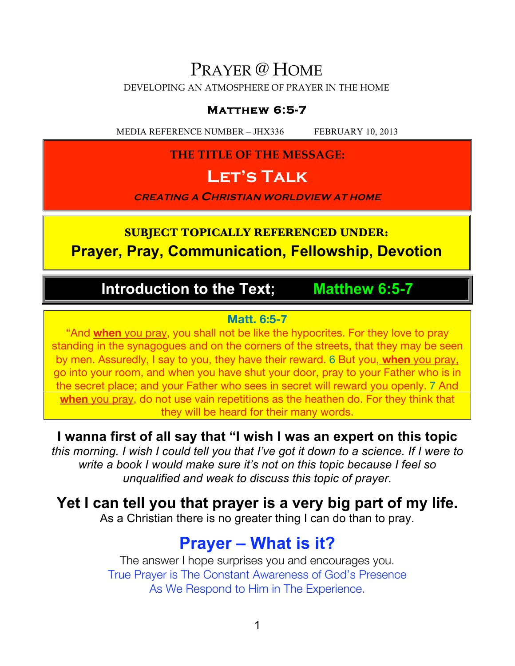### PRAYER @ HOME

DEVELOPING AN ATMOSPHERE OF PRAYER IN THE HOME

#### **Matthew 6:5-7**

MEDIA REFERENCE NUMBER – JHX336 FEBRUARY 10, 2013

#### **THE TITLE OF THE MESSAGE:**

### **Let's Talk**

**CREATING A CHRISTIAN WORLDVIEW AT HOME**

### **SUBJECT TOPICALLY REFERENCED UNDER: Prayer, Pray, Communication, Fellowship, Devotion**

### **Introduction to the Text; Matthew 6:5-7**

#### **Matt. 6:5-7**

"And **when** you pray, you shall not be like the hypocrites. For they love to pray standing in the synagogues and on the corners of the streets, that they may be seen by men. Assuredly, I say to you, they have their reward. 6 But you, **when** you pray, go into your room, and when you have shut your door, pray to your Father who is in the secret place; and your Father who sees in secret will reward you openly. 7 And **when** you pray, do not use vain repetitions as the heathen do. For they think that they will be heard for their many words.

**I wanna first of all say that "I wish I was an expert on this topic**

*this morning. I wish I could tell you that I've got it down to a science. If I were to write a book I would make sure it's not on this topic because I feel so unqualified and weak to discuss this topic of prayer.*

**Yet I can tell you that prayer is a very big part of my life.**

As a Christian there is no greater thing I can do than to pray.

### **Prayer – What is it?**

The answer I hope surprises you and encourages you. True Prayer is The Constant Awareness of God's Presence As We Respond to Him in The Experience.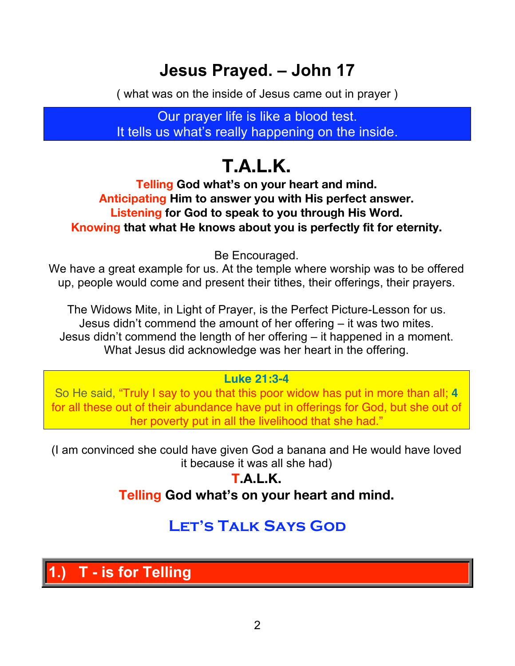# **Jesus Prayed. – John 17**

( what was on the inside of Jesus came out in prayer )

Our prayer life is like a blood test. It tells us what's really happening on the inside.

# **T.A.L.K.**

**Telling God what's on your heart and mind. Anticipating Him to answer you with His perfect answer. Listening for God to speak to you through His Word. Knowing that what He knows about you is perfectly fit for eternity.**

Be Encouraged.

We have a great example for us. At the temple where worship was to be offered up, people would come and present their tithes, their offerings, their prayers.

The Widows Mite, in Light of Prayer, is the Perfect Picture-Lesson for us. Jesus didn't commend the amount of her offering – it was two mites. Jesus didn't commend the length of her offering – it happened in a moment. What Jesus did acknowledge was her heart in the offering.

#### **Luke 21:3-4**

So He said, "Truly I say to you that this poor widow has put in more than all; **4** for all these out of their abundance have put in offerings for God, but she out of her poverty put in all the livelihood that she had."

(I am convinced she could have given God a banana and He would have loved it because it was all she had)

> **T.A.L.K. Telling God what's on your heart and mind.**

### **Let's Talk Says God**

**1.) T - is for Telling**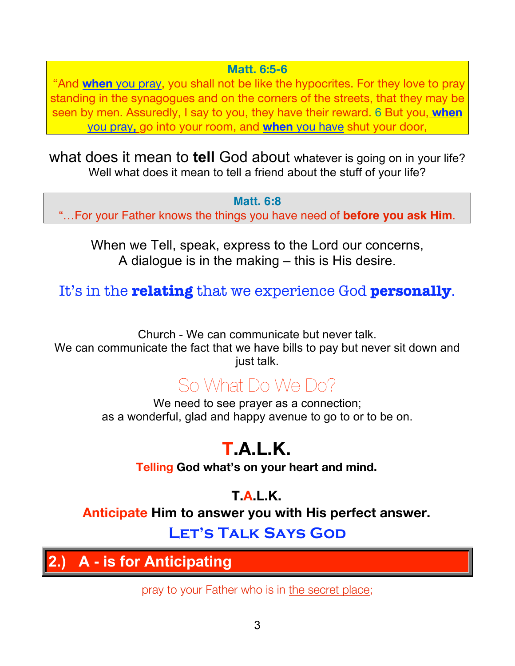#### **Matt. 6:5-6**

 "And **when** you pray, you shall not be like the hypocrites. For they love to pray standing in the synagogues and on the corners of the streets, that they may be seen by men. Assuredly, I say to you, they have their reward. 6 But you, **when**  you pray**,** go into your room, and **when** you have shut your door,

what does it mean to **tell** God about whatever is going on in your life? Well what does it mean to tell a friend about the stuff of your life?

**Matt. 6:8** "…For your Father knows the things you have need of **before you ask Him**.

When we Tell, speak, express to the Lord our concerns, A dialogue is in the making – this is His desire.

It's in the **relating** that we experience God **personally**.

Church - We can communicate but never talk. We can communicate the fact that we have bills to pay but never sit down and just talk.

# So What Do We Do?

We need to see prayer as a connection; as a wonderful, glad and happy avenue to go to or to be on.

# **T.A.L.K.**

**Telling God what's on your heart and mind.**

**T.A.L.K. Anticipate Him to answer you with His perfect answer.**

### **Let's Talk Says God**

**2.) A - is for Anticipating**

pray to your Father who is in the secret place;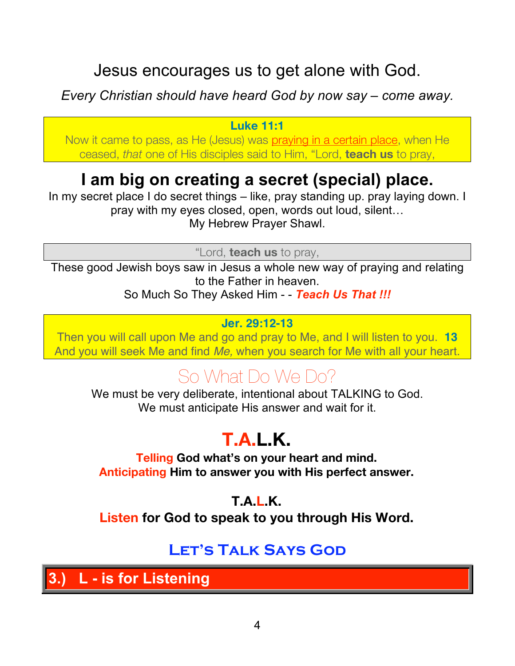### Jesus encourages us to get alone with God.

### *Every Christian should have heard God by now say – come away.*

#### **Luke 11:1**

Now it came to pass, as He (Jesus) was praying in a certain place, when He ceased, *that* one of His disciples said to Him, "Lord, **teach us** to pray,

# **I am big on creating a secret (special) place.**

In my secret place I do secret things – like, pray standing up. pray laying down. I pray with my eyes closed, open, words out loud, silent… My Hebrew Prayer Shawl.

"Lord, **teach us** to pray,

These good Jewish boys saw in Jesus a whole new way of praying and relating to the Father in heaven. So Much So They Asked Him - - *Teach Us That !!!*

#### **Jer. 29:12-13**

Then you will call upon Me and go and pray to Me, and I will listen to you. **13** And you will seek Me and find *Me,* when you search for Me with all your heart.

# So What Do We Do?

We must be very deliberate, intentional about TALKING to God. We must anticipate His answer and wait for it.

# **T.A.L.K.**

**Telling God what's on your heart and mind. Anticipating Him to answer you with His perfect answer.**

### **T.A.L.K.**

**Listen for God to speak to you through His Word.**

### **Let's Talk Says God**

**3.) L - is for Listening**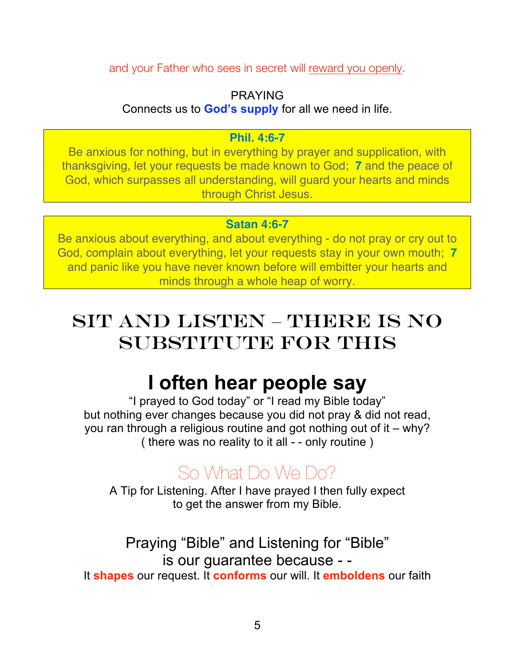and your Father who sees in secret will reward you openly.

#### PRAYING

Connects us to **God's supply** for all we need in life.

#### **Phil. 4:6-7**

Be anxious for nothing, but in everything by prayer and supplication, with thanksgiving, let your requests be made known to God; **7** and the peace of God, which surpasses all understanding, will guard your hearts and minds through Christ Jesus.

#### **Satan 4:6-7**

Be anxious about everything, and about everything - do not pray or cry out to God, complain about everything, let your requests stay in your own mouth; **7** and panic like you have never known before will embitter your hearts and minds through a whole heap of worry.

# Sit and Listen – There is No SUBSTITUTE FOR THIS

# **I often hear people say**

"I prayed to God today" or "I read my Bible today" but nothing ever changes because you did not pray & did not read, you ran through a religious routine and got nothing out of it – why? ( there was no reality to it all - - only routine )

# So What Do We Do?

A Tip for Listening. After I have prayed I then fully expect to get the answer from my Bible.

Praying "Bible" and Listening for "Bible" is our guarantee because - - It **shapes** our request. It **conforms** our will. It **emboldens** our faith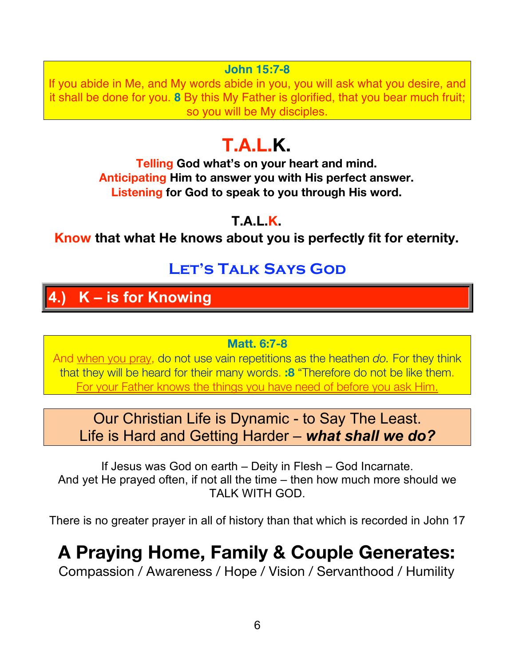#### **John 15:7-8**

If you abide in Me, and My words abide in you, you will ask what you desire, and it shall be done for you. **8** By this My Father is glorified, that you bear much fruit; so you will be My disciples.

# **T.A.L.K.**

**Telling God what's on your heart and mind. Anticipating Him to answer you with His perfect answer. Listening for God to speak to you through His word.**

#### **T.A.L.K.**

**Know that what He knows about you is perfectly fit for eternity.**

### **Let's Talk Says God**

### **4.) K – is for Knowing**

#### **Matt. 6:7-8**

And when you pray, do not use vain repetitions as the heathen *do.* For they think that they will be heard for their many words. **:8** "Therefore do not be like them. For your Father knows the things you have need of before you ask Him.

### Our Christian Life is Dynamic - to Say The Least. Life is Hard and Getting Harder – *what shall we do?*

If Jesus was God on earth – Deity in Flesh – God Incarnate. And yet He prayed often, if not all the time – then how much more should we TALK WITH GOD.

There is no greater prayer in all of history than that which is recorded in John 17

# **A Praying Home, Family & Couple Generates:**

Compassion / Awareness / Hope / Vision / Servanthood / Humility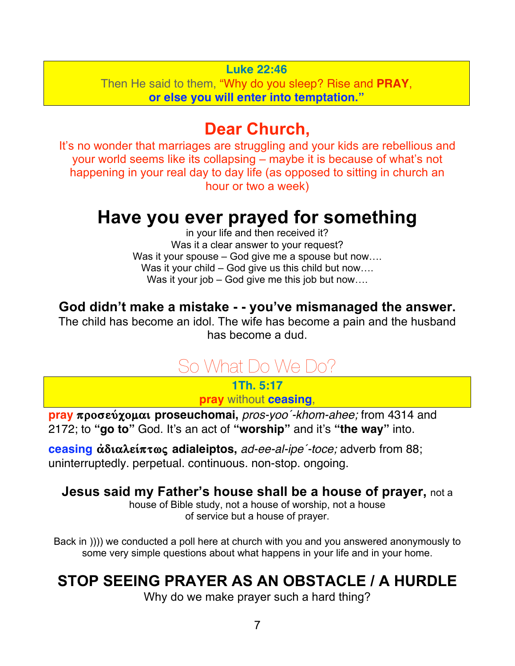#### **Luke 22:46**

Then He said to them, "Why do you sleep? Rise and **PRAY**, **or else you will enter into temptation."**

### **Dear Church,**

It's no wonder that marriages are struggling and your kids are rebellious and your world seems like its collapsing – maybe it is because of what's not happening in your real day to day life (as opposed to sitting in church an hour or two a week)

### **Have you ever prayed for something**

in your life and then received it? Was it a clear answer to your request? Was it your spouse – God give me a spouse but now.... Was it your child – God give us this child but now.... Was it your job – God give me this job but now....

#### **God didn't make a mistake - - you've mismanaged the answer.**

The child has become an idol. The wife has become a pain and the husband has become a dud.

# So What Do We Do?

**1Th. 5:17 pray** without **ceasing**,

**pray** προσεύχομαι proseuchomai, *pros-yoo'-khom-ahee;* from 4314 and 2172; to **"go to"** God. It's an act of **"worship"** and it's **"the way"** into.

**ceasing** αδιαλείπτως **adialeiptos**, *ad-ee-al-ipe'-toce;* adverb from 88; uninterruptedly. perpetual. continuous. non-stop. ongoing.

#### **Jesus said my Father's house shall be a house of prayer,** not a

house of Bible study, not a house of worship, not a house of service but a house of prayer.

Back in )))) we conducted a poll here at church with you and you answered anonymously to some very simple questions about what happens in your life and in your home.

### **STOP SEEING PRAYER AS AN OBSTACLE / A HURDLE**

Why do we make prayer such a hard thing?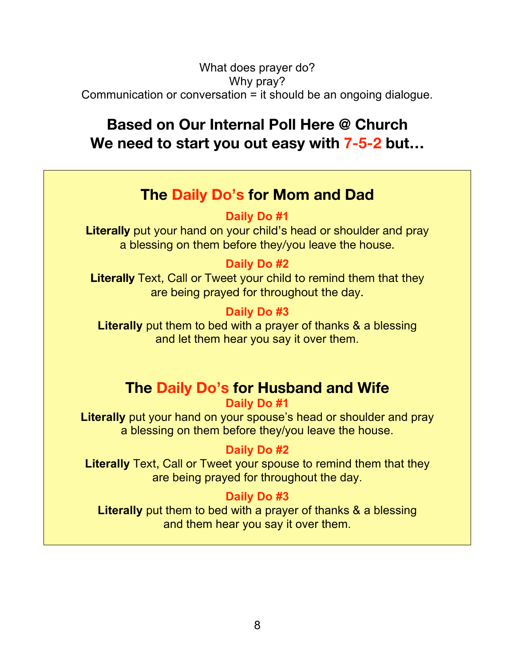#### What does prayer do? Why pray? Communication or conversation = it should be an ongoing dialogue.

### **Based on Our Internal Poll Here @ Church We need to start you out easy with 7-5-2 but…**

### **The Daily Do's for Mom and Dad**

**Daily Do #1**

**Literally** put your hand on your child's head or shoulder and pray a blessing on them before they/you leave the house.

#### **Daily Do #2**

**Literally** Text, Call or Tweet your child to remind them that they are being prayed for throughout the day.

#### **Daily Do #3**

**Literally** put them to bed with a prayer of thanks & a blessing and let them hear you say it over them.

### **The Daily Do's for Husband and Wife**

#### **Daily Do #1**

**Literally** put your hand on your spouse's head or shoulder and pray a blessing on them before they/you leave the house.

#### **Daily Do #2**

**Literally** Text, Call or Tweet your spouse to remind them that they are being prayed for throughout the day.

#### **Daily Do #3**

**Literally** put them to bed with a prayer of thanks & a blessing and them hear you say it over them.